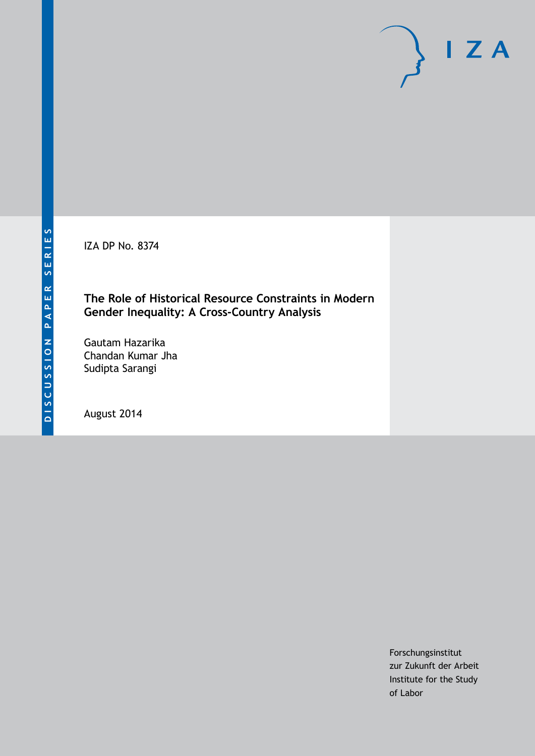IZA DP No. 8374

### **The Role of Historical Resource Constraints in Modern Gender Inequality: A Cross-Country Analysis**

Gautam Hazarika Chandan Kumar Jha Sudipta Sarangi

August 2014

Forschungsinstitut zur Zukunft der Arbeit Institute for the Study of Labor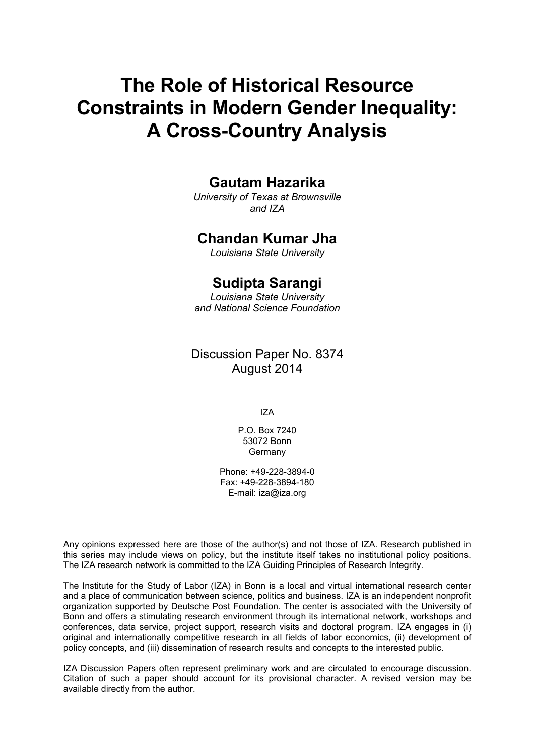# **The Role of Historical Resource Constraints in Modern Gender Inequality: A Cross-Country Analysis**

### **Gautam Hazarika**

*University of Texas at Brownsville and IZA*

### **Chandan Kumar Jha**

*Louisiana State University*

### **Sudipta Sarangi**

*Louisiana State University and National Science Foundation*

### Discussion Paper No. 8374 August 2014

IZA

P.O. Box 7240 53072 Bonn Germany

Phone: +49-228-3894-0 Fax: +49-228-3894-180 E-mail: [iza@iza.org](mailto:iza@iza.org)

Any opinions expressed here are those of the author(s) and not those of IZA. Research published in this series may include views on policy, but the institute itself takes no institutional policy positions. The IZA research network is committed to the IZA Guiding Principles of Research Integrity.

The Institute for the Study of Labor (IZA) in Bonn is a local and virtual international research center and a place of communication between science, politics and business. IZA is an independent nonprofit organization supported by Deutsche Post Foundation. The center is associated with the University of Bonn and offers a stimulating research environment through its international network, workshops and conferences, data service, project support, research visits and doctoral program. IZA engages in (i) original and internationally competitive research in all fields of labor economics, (ii) development of policy concepts, and (iii) dissemination of research results and concepts to the interested public.

IZA Discussion Papers often represent preliminary work and are circulated to encourage discussion. Citation of such a paper should account for its provisional character. A revised version may be available directly from the author.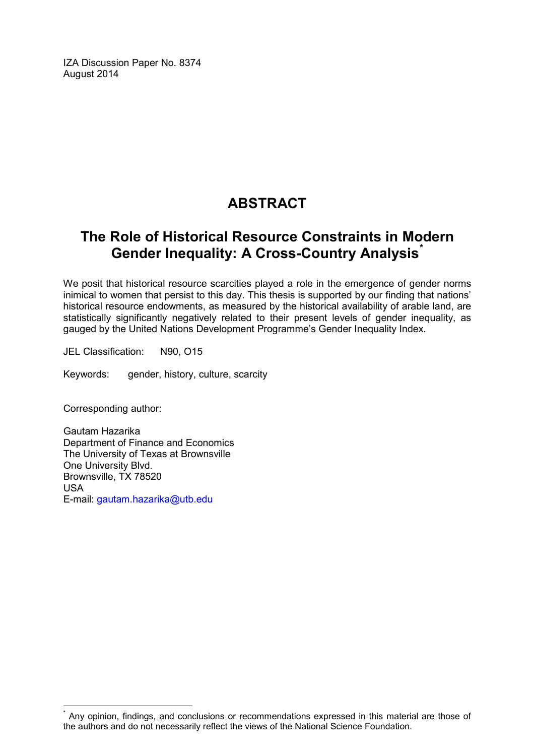IZA Discussion Paper No. 8374 August 2014

# **ABSTRACT**

## **The Role of Historical Resource Constraints in Modern Gender Inequality: A Cross-Country Analysis[\\*](#page-2-0)**

We posit that historical resource scarcities played a role in the emergence of gender norms inimical to women that persist to this day. This thesis is supported by our finding that nations' historical resource endowments, as measured by the historical availability of arable land, are statistically significantly negatively related to their present levels of gender inequality, as gauged by the United Nations Development Programme's Gender Inequality Index.

JEL Classification: N90, O15

Keywords: gender, history, culture, scarcity

Corresponding author:

Gautam Hazarika Department of Finance and Economics The University of Texas at Brownsville One University Blvd. Brownsville, TX 78520 USA E-mail: [gautam.hazarika@utb.edu](mailto:gautam.hazarika@utb.edu)

<span id="page-2-0"></span>Any opinion, findings, and conclusions or recommendations expressed in this material are those of the authors and do not necessarily reflect the views of the National Science Foundation.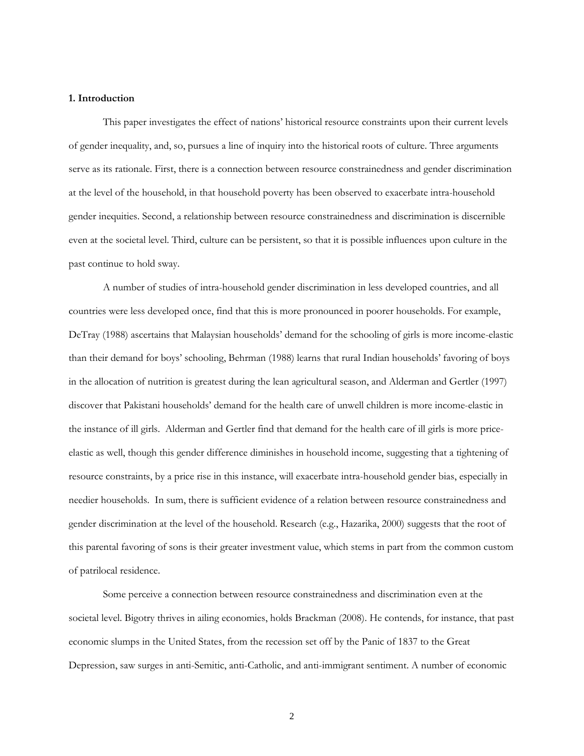#### **1. Introduction**

This paper investigates the effect of nations' historical resource constraints upon their current levels of gender inequality, and, so, pursues a line of inquiry into the historical roots of culture. Three arguments serve as its rationale. First, there is a connection between resource constrainedness and gender discrimination at the level of the household, in that household poverty has been observed to exacerbate intra-household gender inequities. Second, a relationship between resource constrainedness and discrimination is discernible even at the societal level. Third, culture can be persistent, so that it is possible influences upon culture in the past continue to hold sway.

A number of studies of intra-household gender discrimination in less developed countries, and all countries were less developed once, find that this is more pronounced in poorer households. For example, DeTray (1988) ascertains that Malaysian households' demand for the schooling of girls is more income-elastic than their demand for boys' schooling, Behrman (1988) learns that rural Indian households' favoring of boys in the allocation of nutrition is greatest during the lean agricultural season, and Alderman and Gertler (1997) discover that Pakistani households' demand for the health care of unwell children is more income-elastic in the instance of ill girls. Alderman and Gertler find that demand for the health care of ill girls is more priceelastic as well, though this gender difference diminishes in household income, suggesting that a tightening of resource constraints, by a price rise in this instance, will exacerbate intra-household gender bias, especially in needier households. In sum, there is sufficient evidence of a relation between resource constrainedness and gender discrimination at the level of the household. Research (e.g., Hazarika, 2000) suggests that the root of this parental favoring of sons is their greater investment value, which stems in part from the common custom of patrilocal residence.

Some perceive a connection between resource constrainedness and discrimination even at the societal level. Bigotry thrives in ailing economies, holds Brackman (2008). He contends, for instance, that past economic slumps in the United States, from the recession set off by the Panic of 1837 to the Great Depression, saw surges in anti-Semitic, anti-Catholic, and anti-immigrant sentiment. A number of economic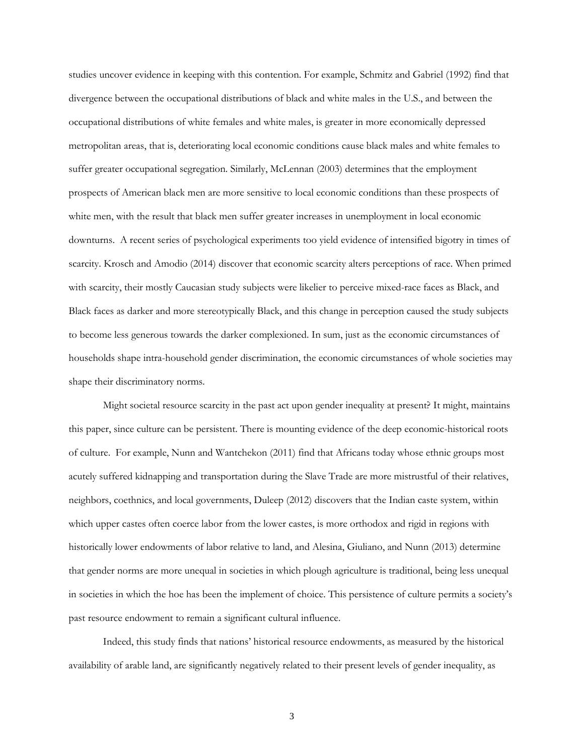studies uncover evidence in keeping with this contention. For example, Schmitz and Gabriel (1992) find that divergence between the occupational distributions of black and white males in the U.S., and between the occupational distributions of white females and white males, is greater in more economically depressed metropolitan areas, that is, deteriorating local economic conditions cause black males and white females to suffer greater occupational segregation. Similarly, McLennan (2003) determines that the employment prospects of American black men are more sensitive to local economic conditions than these prospects of white men, with the result that black men suffer greater increases in unemployment in local economic downturns. A recent series of psychological experiments too yield evidence of intensified bigotry in times of scarcity. Krosch and Amodio (2014) discover that economic scarcity alters perceptions of race. When primed with scarcity, their mostly Caucasian study subjects were likelier to perceive mixed-race faces as Black, and Black faces as darker and more stereotypically Black, and this change in perception caused the study subjects to become less generous towards the darker complexioned. In sum, just as the economic circumstances of households shape intra-household gender discrimination, the economic circumstances of whole societies may shape their discriminatory norms.

Might societal resource scarcity in the past act upon gender inequality at present? It might, maintains this paper, since culture can be persistent. There is mounting evidence of the deep economic-historical roots of culture. For example, Nunn and Wantchekon (2011) find that Africans today whose ethnic groups most acutely suffered kidnapping and transportation during the Slave Trade are more mistrustful of their relatives, neighbors, coethnics, and local governments, Duleep (2012) discovers that the Indian caste system, within which upper castes often coerce labor from the lower castes, is more orthodox and rigid in regions with historically lower endowments of labor relative to land, and Alesina, Giuliano, and Nunn (2013) determine that gender norms are more unequal in societies in which plough agriculture is traditional, being less unequal in societies in which the hoe has been the implement of choice. This persistence of culture permits a society's past resource endowment to remain a significant cultural influence.

Indeed, this study finds that nations' historical resource endowments, as measured by the historical availability of arable land, are significantly negatively related to their present levels of gender inequality, as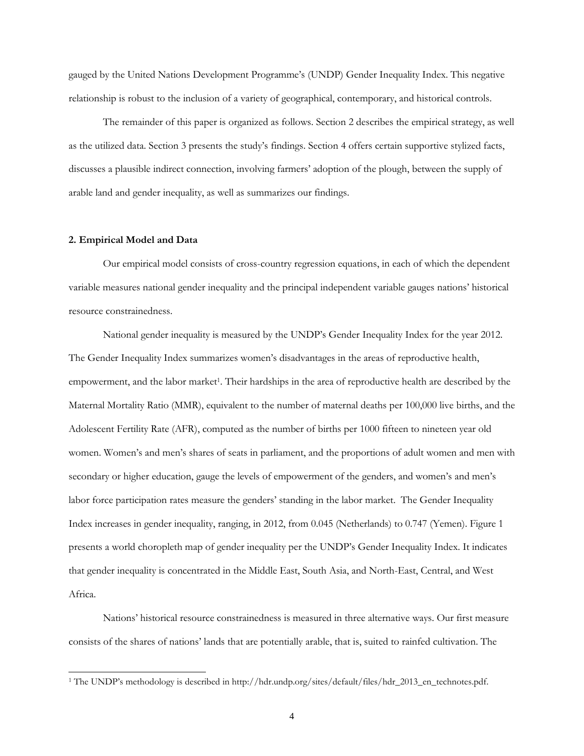gauged by the United Nations Development Programme's (UNDP) Gender Inequality Index. This negative relationship is robust to the inclusion of a variety of geographical, contemporary, and historical controls.

The remainder of this paper is organized as follows. Section 2 describes the empirical strategy, as well as the utilized data. Section 3 presents the study's findings. Section 4 offers certain supportive stylized facts, discusses a plausible indirect connection, involving farmers' adoption of the plough, between the supply of arable land and gender inequality, as well as summarizes our findings.

#### **2. Empirical Model and Data**

 $\overline{a}$ 

Our empirical model consists of cross-country regression equations, in each of which the dependent variable measures national gender inequality and the principal independent variable gauges nations' historical resource constrainedness.

National gender inequality is measured by the UNDP's Gender Inequality Index for the year 2012. The Gender Inequality Index summarizes women's disadvantages in the areas of reproductive health, empowerment, and the labor market<sup>1</sup>. Their hardships in the area of reproductive health are described by the Maternal Mortality Ratio (MMR), equivalent to the number of maternal deaths per 100,000 live births, and the Adolescent Fertility Rate (AFR), computed as the number of births per 1000 fifteen to nineteen year old women. Women's and men's shares of seats in parliament, and the proportions of adult women and men with secondary or higher education, gauge the levels of empowerment of the genders, and women's and men's labor force participation rates measure the genders' standing in the labor market. The Gender Inequality Index increases in gender inequality, ranging, in 2012, from 0.045 (Netherlands) to 0.747 (Yemen). Figure 1 presents a world choropleth map of gender inequality per the UNDP's Gender Inequality Index. It indicates that gender inequality is concentrated in the Middle East, South Asia, and North-East, Central, and West Africa.

Nations' historical resource constrainedness is measured in three alternative ways. Our first measure consists of the shares of nations' lands that are potentially arable, that is, suited to rainfed cultivation. The

<sup>1</sup> The UNDP's methodology is described in http://hdr.undp.org/sites/default/files/hdr\_2013\_en\_technotes.pdf.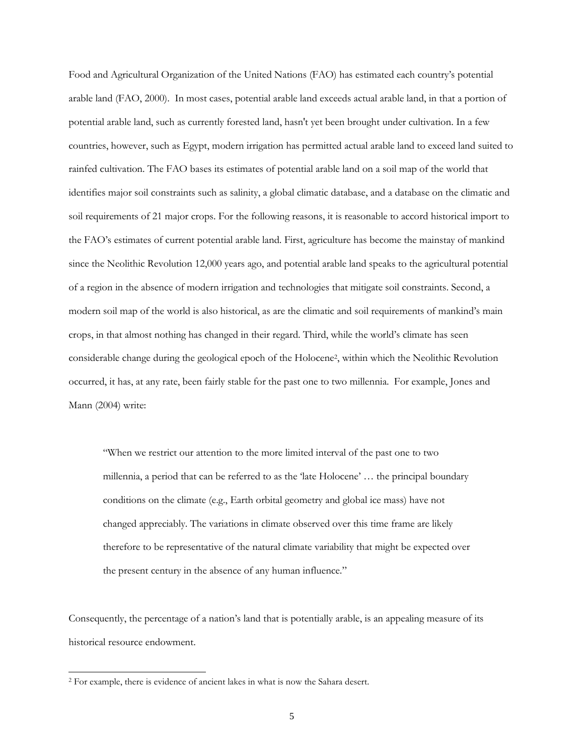Food and Agricultural Organization of the United Nations (FAO) has estimated each country's potential arable land (FAO, 2000). In most cases, potential arable land exceeds actual arable land, in that a portion of potential arable land, such as currently forested land, hasn't yet been brought under cultivation. In a few countries, however, such as Egypt, modern irrigation has permitted actual arable land to exceed land suited to rainfed cultivation. The FAO bases its estimates of potential arable land on a soil map of the world that identifies major soil constraints such as salinity, a global climatic database, and a database on the climatic and soil requirements of 21 major crops. For the following reasons, it is reasonable to accord historical import to the FAO's estimates of current potential arable land. First, agriculture has become the mainstay of mankind since the Neolithic Revolution 12,000 years ago, and potential arable land speaks to the agricultural potential of a region in the absence of modern irrigation and technologies that mitigate soil constraints. Second, a modern soil map of the world is also historical, as are the climatic and soil requirements of mankind's main crops, in that almost nothing has changed in their regard. Third, while the world's climate has seen considerable change during the geological epoch of the Holocene<sup>2</sup> , within which the Neolithic Revolution occurred, it has, at any rate, been fairly stable for the past one to two millennia. For example, Jones and Mann (2004) write:

"When we restrict our attention to the more limited interval of the past one to two millennia, a period that can be referred to as the 'late Holocene' … the principal boundary conditions on the climate (e.g., Earth orbital geometry and global ice mass) have not changed appreciably. The variations in climate observed over this time frame are likely therefore to be representative of the natural climate variability that might be expected over the present century in the absence of any human influence."

Consequently, the percentage of a nation's land that is potentially arable, is an appealing measure of its historical resource endowment.

-

<sup>2</sup> For example, there is evidence of ancient lakes in what is now the Sahara desert.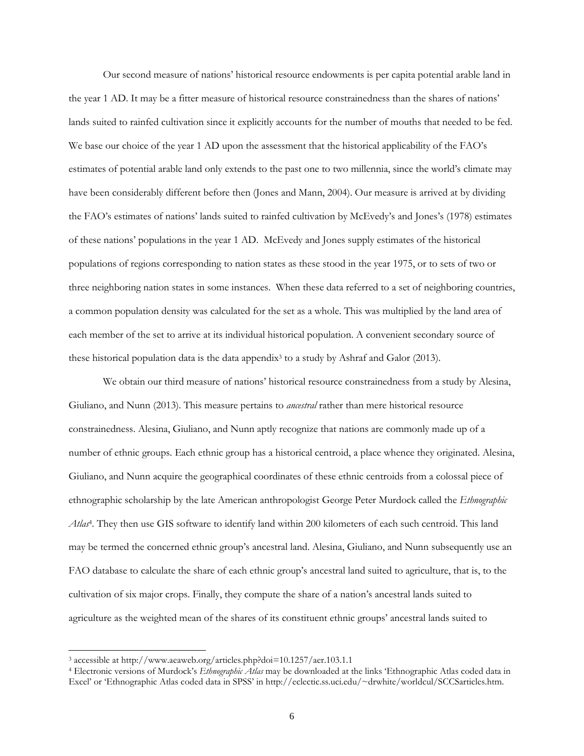Our second measure of nations' historical resource endowments is per capita potential arable land in the year 1 AD. It may be a fitter measure of historical resource constrainedness than the shares of nations' lands suited to rainfed cultivation since it explicitly accounts for the number of mouths that needed to be fed. We base our choice of the year 1 AD upon the assessment that the historical applicability of the FAO's estimates of potential arable land only extends to the past one to two millennia, since the world's climate may have been considerably different before then (Jones and Mann, 2004). Our measure is arrived at by dividing the FAO's estimates of nations' lands suited to rainfed cultivation by McEvedy's and Jones's (1978) estimates of these nations' populations in the year 1 AD. McEvedy and Jones supply estimates of the historical populations of regions corresponding to nation states as these stood in the year 1975, or to sets of two or three neighboring nation states in some instances. When these data referred to a set of neighboring countries, a common population density was calculated for the set as a whole. This was multiplied by the land area of each member of the set to arrive at its individual historical population. A convenient secondary source of these historical population data is the data appendix<sup>3</sup> to a study by Ashraf and Galor (2013).

We obtain our third measure of nations' historical resource constrainedness from a study by Alesina, Giuliano, and Nunn (2013). This measure pertains to *ancestral* rather than mere historical resource constrainedness. Alesina, Giuliano, and Nunn aptly recognize that nations are commonly made up of a number of ethnic groups. Each ethnic group has a historical centroid, a place whence they originated. Alesina, Giuliano, and Nunn acquire the geographical coordinates of these ethnic centroids from a colossal piece of ethnographic scholarship by the late American anthropologist George Peter Murdock called the *Ethnographic Atlas*<sup>4</sup> . They then use GIS software to identify land within 200 kilometers of each such centroid. This land may be termed the concerned ethnic group's ancestral land. Alesina, Giuliano, and Nunn subsequently use an FAO database to calculate the share of each ethnic group's ancestral land suited to agriculture, that is, to the cultivation of six major crops. Finally, they compute the share of a nation's ancestral lands suited to agriculture as the weighted mean of the shares of its constituent ethnic groups' ancestral lands suited to

 $\overline{a}$ 

<sup>3</sup> accessible at http://www.aeaweb.org/articles.php?doi=10.1257/aer.103.1.1

<sup>4</sup> Electronic versions of Murdock's *Ethnographic Atlas* may be downloaded at the links 'Ethnographic Atlas coded data in Excel' or 'Ethnographic Atlas coded data in SPSS' in http://eclectic.ss.uci.edu/~drwhite/worldcul/SCCSarticles.htm.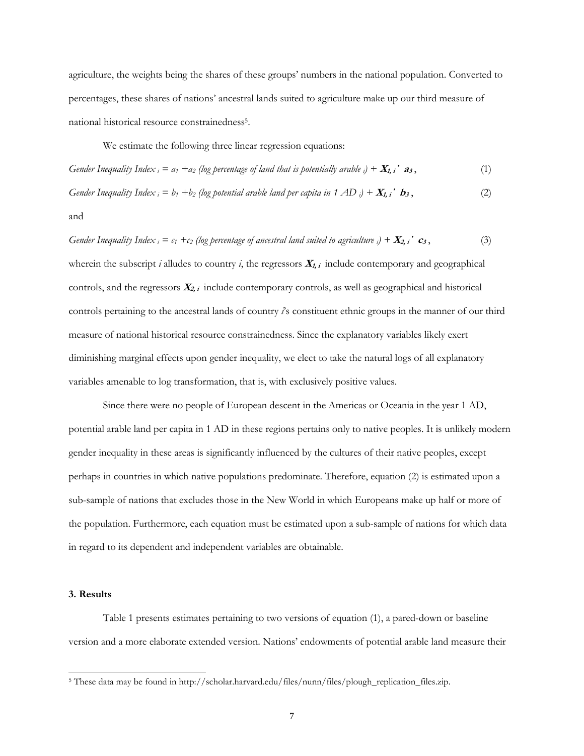agriculture, the weights being the shares of these groups' numbers in the national population. Converted to percentages, these shares of nations' ancestral lands suited to agriculture make up our third measure of national historical resource constrainedness<sup>5</sup>.

We estimate the following three linear regression equations:

*Gender Inequality Index*  $i = a_1 + a_2$  (log percentage of land that is potentially arable  $i$ ) +  $X_{1, i}$  **a**<sub>3</sub>, (1)

*Gender Inequality Index*  $i = b_1 + b_2$  (log potential arable land per capita in 1 AD  $i$ ) +  $X_{1,i}$  **b**<sub>3</sub>, (2)

#### and

*Gender Inequality Index*  $i = c_1 + c_2$  (log percentage of ancestral land suited to agriculture  $i$ ) +  $X_{2,i}$   $c_3$ , (3)

wherein the subscript  $i$  alludes to country  $i$ , the regressors  $\mathbf{X}_{i}$ , include contemporary and geographical controls, and the regressors **<sup>X</sup>2, i** include contemporary controls, as well as geographical and historical controls pertaining to the ancestral lands of country *i*'s constituent ethnic groups in the manner of our third measure of national historical resource constrainedness. Since the explanatory variables likely exert diminishing marginal effects upon gender inequality, we elect to take the natural logs of all explanatory variables amenable to log transformation, that is, with exclusively positive values.

Since there were no people of European descent in the Americas or Oceania in the year 1 AD, potential arable land per capita in 1 AD in these regions pertains only to native peoples. It is unlikely modern gender inequality in these areas is significantly influenced by the cultures of their native peoples, except perhaps in countries in which native populations predominate. Therefore, equation (2) is estimated upon a sub-sample of nations that excludes those in the New World in which Europeans make up half or more of the population. Furthermore, each equation must be estimated upon a sub-sample of nations for which data in regard to its dependent and independent variables are obtainable.

#### **3. Results**

-

Table 1 presents estimates pertaining to two versions of equation (1), a pared-down or baseline version and a more elaborate extended version. Nations' endowments of potential arable land measure their

<sup>5</sup> These data may be found in http://scholar.harvard.edu/files/nunn/files/plough\_replication\_files.zip.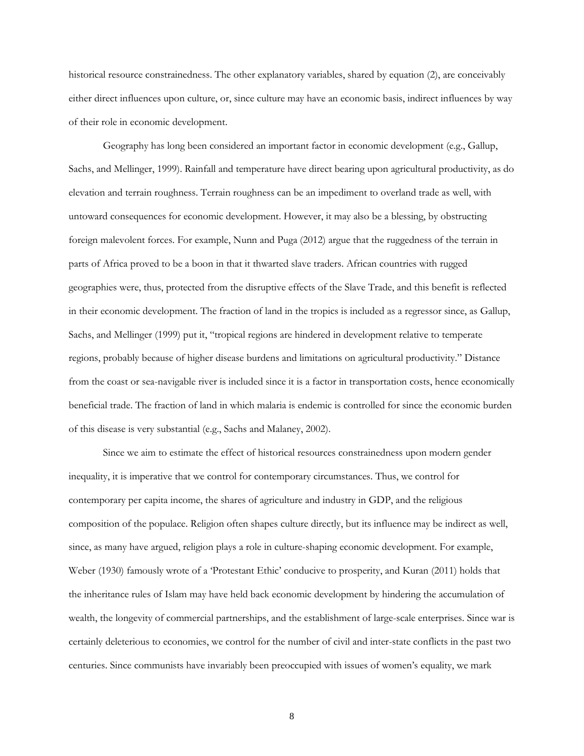historical resource constrainedness. The other explanatory variables, shared by equation (2), are conceivably either direct influences upon culture, or, since culture may have an economic basis, indirect influences by way of their role in economic development.

Geography has long been considered an important factor in economic development (e.g., Gallup, Sachs, and Mellinger, 1999). Rainfall and temperature have direct bearing upon agricultural productivity, as do elevation and terrain roughness. Terrain roughness can be an impediment to overland trade as well, with untoward consequences for economic development. However, it may also be a blessing, by obstructing foreign malevolent forces. For example, Nunn and Puga (2012) argue that the ruggedness of the terrain in parts of Africa proved to be a boon in that it thwarted slave traders. African countries with rugged geographies were, thus, protected from the disruptive effects of the Slave Trade, and this benefit is reflected in their economic development. The fraction of land in the tropics is included as a regressor since, as Gallup, Sachs, and Mellinger (1999) put it, "tropical regions are hindered in development relative to temperate regions, probably because of higher disease burdens and limitations on agricultural productivity." Distance from the coast or sea-navigable river is included since it is a factor in transportation costs, hence economically beneficial trade. The fraction of land in which malaria is endemic is controlled for since the economic burden of this disease is very substantial (e.g., Sachs and Malaney, 2002).

Since we aim to estimate the effect of historical resources constrainedness upon modern gender inequality, it is imperative that we control for contemporary circumstances. Thus, we control for contemporary per capita income, the shares of agriculture and industry in GDP, and the religious composition of the populace. Religion often shapes culture directly, but its influence may be indirect as well, since, as many have argued, religion plays a role in culture-shaping economic development. For example, Weber (1930) famously wrote of a 'Protestant Ethic' conducive to prosperity, and Kuran (2011) holds that the inheritance rules of Islam may have held back economic development by hindering the accumulation of wealth, the longevity of commercial partnerships, and the establishment of large-scale enterprises. Since war is certainly deleterious to economies, we control for the number of civil and inter-state conflicts in the past two centuries. Since communists have invariably been preoccupied with issues of women's equality, we mark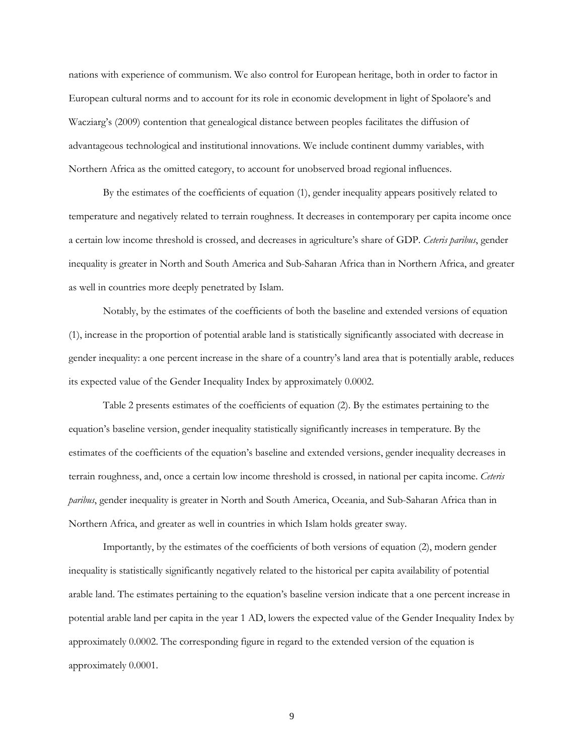nations with experience of communism. We also control for European heritage, both in order to factor in European cultural norms and to account for its role in economic development in light of Spolaore's and Wacziarg's (2009) contention that genealogical distance between peoples facilitates the diffusion of advantageous technological and institutional innovations. We include continent dummy variables, with Northern Africa as the omitted category, to account for unobserved broad regional influences.

By the estimates of the coefficients of equation (1), gender inequality appears positively related to temperature and negatively related to terrain roughness. It decreases in contemporary per capita income once a certain low income threshold is crossed, and decreases in agriculture's share of GDP. *Ceteris paribus*, gender inequality is greater in North and South America and Sub-Saharan Africa than in Northern Africa, and greater as well in countries more deeply penetrated by Islam.

Notably, by the estimates of the coefficients of both the baseline and extended versions of equation (1), increase in the proportion of potential arable land is statistically significantly associated with decrease in gender inequality: a one percent increase in the share of a country's land area that is potentially arable, reduces its expected value of the Gender Inequality Index by approximately 0.0002.

Table 2 presents estimates of the coefficients of equation (2). By the estimates pertaining to the equation's baseline version, gender inequality statistically significantly increases in temperature. By the estimates of the coefficients of the equation's baseline and extended versions, gender inequality decreases in terrain roughness, and, once a certain low income threshold is crossed, in national per capita income. *Ceteris paribus*, gender inequality is greater in North and South America, Oceania, and Sub-Saharan Africa than in Northern Africa, and greater as well in countries in which Islam holds greater sway.

Importantly, by the estimates of the coefficients of both versions of equation (2), modern gender inequality is statistically significantly negatively related to the historical per capita availability of potential arable land. The estimates pertaining to the equation's baseline version indicate that a one percent increase in potential arable land per capita in the year 1 AD, lowers the expected value of the Gender Inequality Index by approximately 0.0002. The corresponding figure in regard to the extended version of the equation is approximately 0.0001.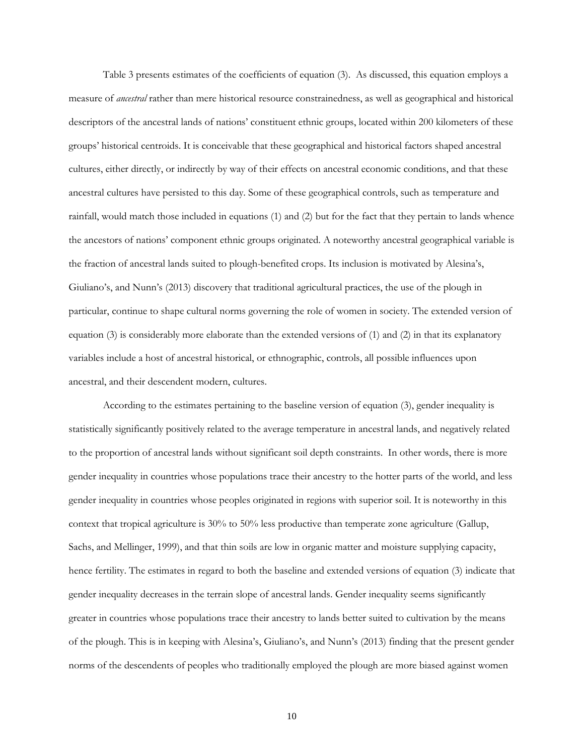Table 3 presents estimates of the coefficients of equation (3). As discussed, this equation employs a measure of *ancestral* rather than mere historical resource constrainedness, as well as geographical and historical descriptors of the ancestral lands of nations' constituent ethnic groups, located within 200 kilometers of these groups' historical centroids. It is conceivable that these geographical and historical factors shaped ancestral cultures, either directly, or indirectly by way of their effects on ancestral economic conditions, and that these ancestral cultures have persisted to this day. Some of these geographical controls, such as temperature and rainfall, would match those included in equations (1) and (2) but for the fact that they pertain to lands whence the ancestors of nations' component ethnic groups originated. A noteworthy ancestral geographical variable is the fraction of ancestral lands suited to plough-benefited crops. Its inclusion is motivated by Alesina's, Giuliano's, and Nunn's (2013) discovery that traditional agricultural practices, the use of the plough in particular, continue to shape cultural norms governing the role of women in society. The extended version of equation (3) is considerably more elaborate than the extended versions of (1) and (2) in that its explanatory variables include a host of ancestral historical, or ethnographic, controls, all possible influences upon ancestral, and their descendent modern, cultures.

According to the estimates pertaining to the baseline version of equation (3), gender inequality is statistically significantly positively related to the average temperature in ancestral lands, and negatively related to the proportion of ancestral lands without significant soil depth constraints. In other words, there is more gender inequality in countries whose populations trace their ancestry to the hotter parts of the world, and less gender inequality in countries whose peoples originated in regions with superior soil. It is noteworthy in this context that tropical agriculture is 30% to 50% less productive than temperate zone agriculture (Gallup, Sachs, and Mellinger, 1999), and that thin soils are low in organic matter and moisture supplying capacity, hence fertility. The estimates in regard to both the baseline and extended versions of equation (3) indicate that gender inequality decreases in the terrain slope of ancestral lands. Gender inequality seems significantly greater in countries whose populations trace their ancestry to lands better suited to cultivation by the means of the plough. This is in keeping with Alesina's, Giuliano's, and Nunn's (2013) finding that the present gender norms of the descendents of peoples who traditionally employed the plough are more biased against women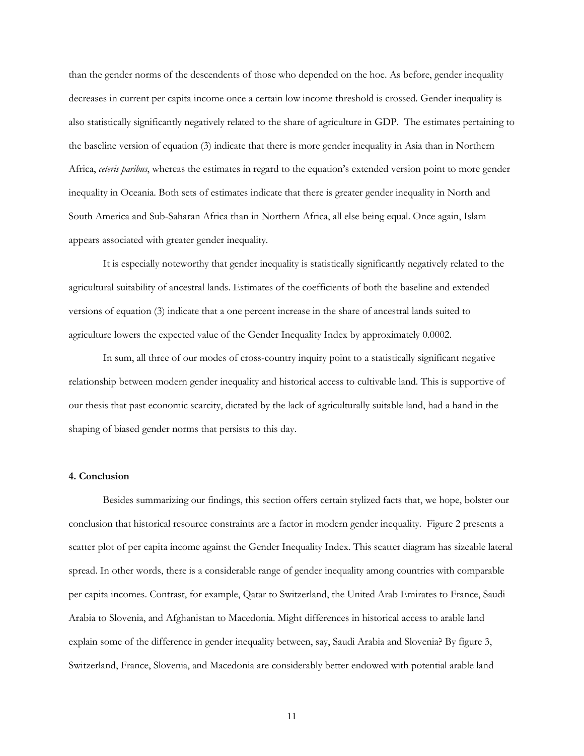than the gender norms of the descendents of those who depended on the hoe. As before, gender inequality decreases in current per capita income once a certain low income threshold is crossed. Gender inequality is also statistically significantly negatively related to the share of agriculture in GDP. The estimates pertaining to the baseline version of equation (3) indicate that there is more gender inequality in Asia than in Northern Africa, *ceteris paribus*, whereas the estimates in regard to the equation's extended version point to more gender inequality in Oceania. Both sets of estimates indicate that there is greater gender inequality in North and South America and Sub-Saharan Africa than in Northern Africa, all else being equal. Once again, Islam appears associated with greater gender inequality.

It is especially noteworthy that gender inequality is statistically significantly negatively related to the agricultural suitability of ancestral lands. Estimates of the coefficients of both the baseline and extended versions of equation (3) indicate that a one percent increase in the share of ancestral lands suited to agriculture lowers the expected value of the Gender Inequality Index by approximately 0.0002.

In sum, all three of our modes of cross-country inquiry point to a statistically significant negative relationship between modern gender inequality and historical access to cultivable land. This is supportive of our thesis that past economic scarcity, dictated by the lack of agriculturally suitable land, had a hand in the shaping of biased gender norms that persists to this day.

#### **4. Conclusion**

Besides summarizing our findings, this section offers certain stylized facts that, we hope, bolster our conclusion that historical resource constraints are a factor in modern gender inequality. Figure 2 presents a scatter plot of per capita income against the Gender Inequality Index. This scatter diagram has sizeable lateral spread. In other words, there is a considerable range of gender inequality among countries with comparable per capita incomes. Contrast, for example, Qatar to Switzerland, the United Arab Emirates to France, Saudi Arabia to Slovenia, and Afghanistan to Macedonia. Might differences in historical access to arable land explain some of the difference in gender inequality between, say, Saudi Arabia and Slovenia? By figure 3, Switzerland, France, Slovenia, and Macedonia are considerably better endowed with potential arable land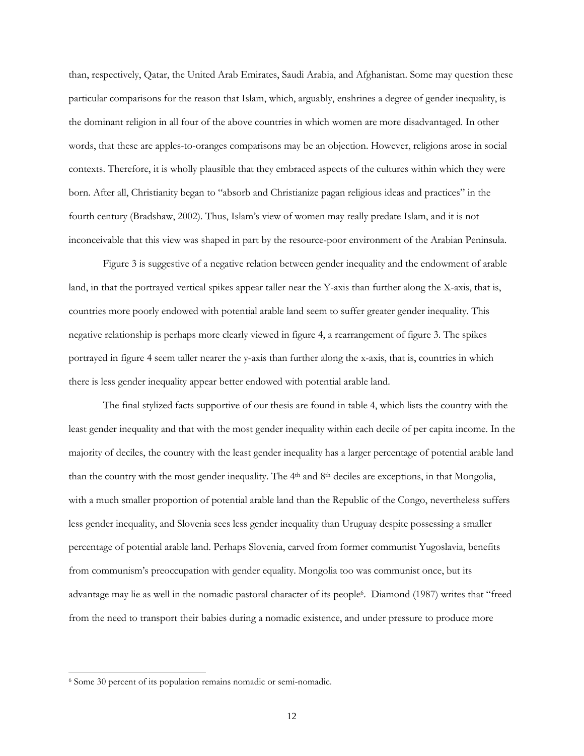than, respectively, Qatar, the United Arab Emirates, Saudi Arabia, and Afghanistan. Some may question these particular comparisons for the reason that Islam, which, arguably, enshrines a degree of gender inequality, is the dominant religion in all four of the above countries in which women are more disadvantaged. In other words, that these are apples-to-oranges comparisons may be an objection. However, religions arose in social contexts. Therefore, it is wholly plausible that they embraced aspects of the cultures within which they were born. After all, Christianity began to "absorb and Christianize pagan religious ideas and practices" in the fourth century (Bradshaw, 2002). Thus, Islam's view of women may really predate Islam, and it is not inconceivable that this view was shaped in part by the resource-poor environment of the Arabian Peninsula.

Figure 3 is suggestive of a negative relation between gender inequality and the endowment of arable land, in that the portrayed vertical spikes appear taller near the Y-axis than further along the X-axis, that is, countries more poorly endowed with potential arable land seem to suffer greater gender inequality. This negative relationship is perhaps more clearly viewed in figure 4, a rearrangement of figure 3. The spikes portrayed in figure 4 seem taller nearer the y-axis than further along the x-axis, that is, countries in which there is less gender inequality appear better endowed with potential arable land.

The final stylized facts supportive of our thesis are found in table 4, which lists the country with the least gender inequality and that with the most gender inequality within each decile of per capita income. In the majority of deciles, the country with the least gender inequality has a larger percentage of potential arable land than the country with the most gender inequality. The 4<sup>th</sup> and 8<sup>th</sup> deciles are exceptions, in that Mongolia, with a much smaller proportion of potential arable land than the Republic of the Congo, nevertheless suffers less gender inequality, and Slovenia sees less gender inequality than Uruguay despite possessing a smaller percentage of potential arable land. Perhaps Slovenia, carved from former communist Yugoslavia, benefits from communism's preoccupation with gender equality. Mongolia too was communist once, but its advantage may lie as well in the nomadic pastoral character of its people<sup>6</sup> . Diamond (1987) writes that "freed from the need to transport their babies during a nomadic existence, and under pressure to produce more

 $\overline{a}$ 

<sup>6</sup> Some 30 percent of its population remains nomadic or semi-nomadic.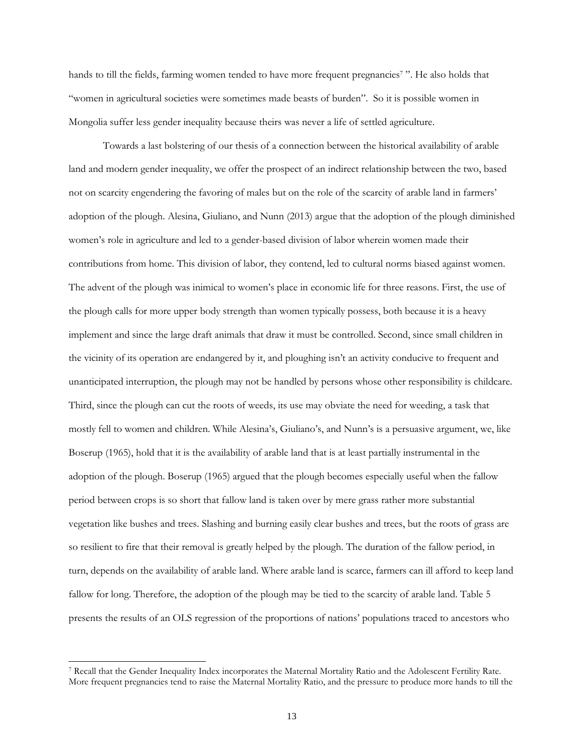hands to till the fields, farming women tended to have more frequent pregnancies<sup>7</sup>". He also holds that "women in agricultural societies were sometimes made beasts of burden". So it is possible women in Mongolia suffer less gender inequality because theirs was never a life of settled agriculture.

Towards a last bolstering of our thesis of a connection between the historical availability of arable land and modern gender inequality, we offer the prospect of an indirect relationship between the two, based not on scarcity engendering the favoring of males but on the role of the scarcity of arable land in farmers' adoption of the plough. Alesina, Giuliano, and Nunn (2013) argue that the adoption of the plough diminished women's role in agriculture and led to a gender-based division of labor wherein women made their contributions from home. This division of labor, they contend, led to cultural norms biased against women. The advent of the plough was inimical to women's place in economic life for three reasons. First, the use of the plough calls for more upper body strength than women typically possess, both because it is a heavy implement and since the large draft animals that draw it must be controlled. Second, since small children in the vicinity of its operation are endangered by it, and ploughing isn't an activity conducive to frequent and unanticipated interruption, the plough may not be handled by persons whose other responsibility is childcare. Third, since the plough can cut the roots of weeds, its use may obviate the need for weeding, a task that mostly fell to women and children. While Alesina's, Giuliano's, and Nunn's is a persuasive argument, we, like Boserup (1965), hold that it is the availability of arable land that is at least partially instrumental in the adoption of the plough. Boserup (1965) argued that the plough becomes especially useful when the fallow period between crops is so short that fallow land is taken over by mere grass rather more substantial vegetation like bushes and trees. Slashing and burning easily clear bushes and trees, but the roots of grass are so resilient to fire that their removal is greatly helped by the plough. The duration of the fallow period, in turn, depends on the availability of arable land. Where arable land is scarce, farmers can ill afford to keep land fallow for long. Therefore, the adoption of the plough may be tied to the scarcity of arable land. Table 5 presents the results of an OLS regression of the proportions of nations' populations traced to ancestors who

-

<sup>7</sup> Recall that the Gender Inequality Index incorporates the Maternal Mortality Ratio and the Adolescent Fertility Rate. More frequent pregnancies tend to raise the Maternal Mortality Ratio, and the pressure to produce more hands to till the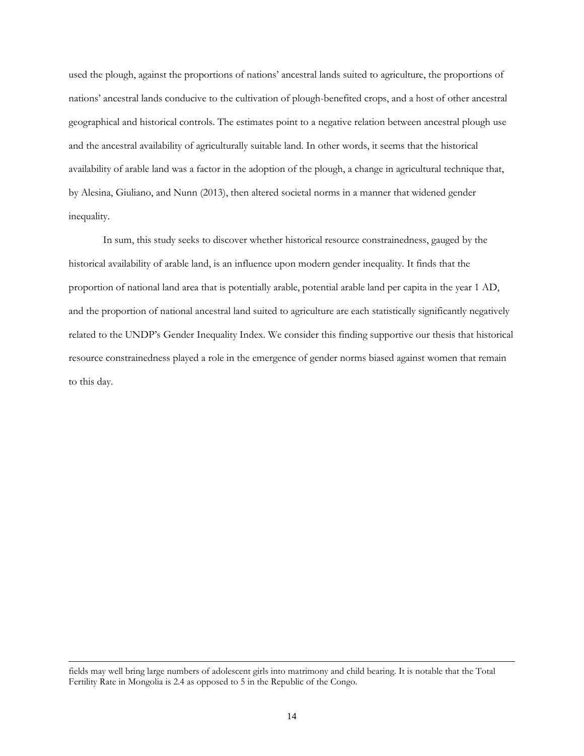used the plough, against the proportions of nations' ancestral lands suited to agriculture, the proportions of nations' ancestral lands conducive to the cultivation of plough-benefited crops, and a host of other ancestral geographical and historical controls. The estimates point to a negative relation between ancestral plough use and the ancestral availability of agriculturally suitable land. In other words, it seems that the historical availability of arable land was a factor in the adoption of the plough, a change in agricultural technique that, by Alesina, Giuliano, and Nunn (2013), then altered societal norms in a manner that widened gender inequality.

In sum, this study seeks to discover whether historical resource constrainedness, gauged by the historical availability of arable land, is an influence upon modern gender inequality. It finds that the proportion of national land area that is potentially arable, potential arable land per capita in the year 1 AD, and the proportion of national ancestral land suited to agriculture are each statistically significantly negatively related to the UNDP's Gender Inequality Index. We consider this finding supportive our thesis that historical resource constrainedness played a role in the emergence of gender norms biased against women that remain to this day.

-

fields may well bring large numbers of adolescent girls into matrimony and child bearing. It is notable that the Total Fertility Rate in Mongolia is 2.4 as opposed to 5 in the Republic of the Congo.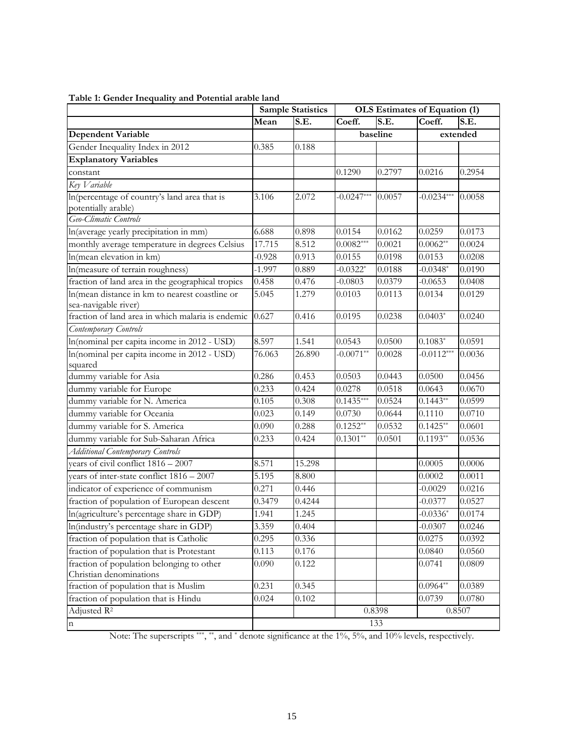|                                                                        |          | <b>Sample Statistics</b> | OLS Estimates of Equation (1) |        |              |          |
|------------------------------------------------------------------------|----------|--------------------------|-------------------------------|--------|--------------|----------|
|                                                                        | Mean     | S.E.                     | Coeff.                        | S.E.   | Coeff.       | S.E.     |
| <b>Dependent Variable</b>                                              |          |                          | baseline                      |        |              | extended |
| Gender Inequality Index in 2012                                        | 0.385    | 0.188                    |                               |        |              |          |
| <b>Explanatory Variables</b>                                           |          |                          |                               |        |              |          |
| constant                                                               |          |                          | 0.1290                        | 0.2797 | 0.0216       | 0.2954   |
| Key Variable                                                           |          |                          |                               |        |              |          |
| In(percentage of country's land area that is<br>potentially arable)    | 3.106    | 2.072                    | $-0.0247***$                  | 0.0057 | $-0.0234***$ | 0.0058   |
| Geo-Climatic Controls                                                  |          |                          |                               |        |              |          |
| In(average yearly precipitation in mm)                                 | 6.688    | 0.898                    | 0.0154                        | 0.0162 | 0.0259       | 0.0173   |
| monthly average temperature in degrees Celsius                         | 17.715   | 8.512                    | $0.0082***$                   | 0.0021 | $0.0062**$   | 0.0024   |
| In(mean elevation in km)                                               | $-0.928$ | 0.913                    | 0.0155                        | 0.0198 | 0.0153       | 0.0208   |
| In(measure of terrain roughness)                                       | $-1.997$ | 0.889                    | $-0.0322*$                    | 0.0188 | $-0.0348*$   | 0.0190   |
| fraction of land area in the geographical tropics                      | 0.458    | 0.476                    | $-0.0803$                     | 0.0379 | $-0.0653$    | 0.0408   |
| In(mean distance in km to nearest coastline or<br>sea-navigable river) | 5.045    | 1.279                    | 0.0103                        | 0.0113 | 0.0134       | 0.0129   |
| fraction of land area in which malaria is endemic                      | 0.627    | 0.416                    | 0.0195                        | 0.0238 | $0.0403*$    | 0.0240   |
| Contemporary Controls                                                  |          |                          |                               |        |              |          |
| In(nominal per capita income in 2012 - USD)                            | 8.597    | 1.541                    | 0.0543                        | 0.0500 | $0.1083*$    | 0.0591   |
| In(nominal per capita income in 2012 - USD)                            | 76.063   | 26.890                   | $-0.0071**$                   | 0.0028 | $-0.0112***$ | 0.0036   |
| squared                                                                |          |                          |                               |        |              |          |
| dummy variable for Asia                                                | 0.286    | 0.453                    | 0.0503                        | 0.0443 | 0.0500       | 0.0456   |
| dummy variable for Europe                                              | 0.233    | 0.424                    | 0.0278                        | 0.0518 | 0.0643       | 0.0670   |
| dummy variable for N. America                                          | 0.105    | 0.308                    | $0.1435***$                   | 0.0524 | $0.1443**$   | 0.0599   |
| dummy variable for Oceania                                             | 0.023    | 0.149                    | 0.0730                        | 0.0644 | 0.1110       | 0.0710   |
| dummy variable for S. America                                          | 0.090    | 0.288                    | $0.1252**$                    | 0.0532 | $0.1425**$   | 0.0601   |
| dummy variable for Sub-Saharan Africa                                  | 0.233    | 0.424                    | $0.1301**$                    | 0.0501 | $0.1193**$   | 0.0536   |
| <b>Additional Contemporary Controls</b>                                |          |                          |                               |        |              |          |
| years of civil conflict 1816 - 2007                                    | 8.571    | 15.298                   |                               |        | 0.0005       | 0.0006   |
| years of inter-state conflict 1816 - 2007                              | 5.195    | 8.800                    |                               |        | 0.0002       | 0.0011   |
| indicator of experience of communism                                   | 0.271    | 0.446                    |                               |        | $-0.0029$    | 0.0216   |
| fraction of population of European descent                             | 0.3479   | 0.4244                   |                               |        | $-0.0377$    | 0.0527   |
| In(agriculture's percentage share in GDP)                              | 1.941    | 1.245                    |                               |        | $-0.0336*$   | 0.0174   |
| In(industry's percentage share in GDP)                                 | 3.359    | 0.404                    |                               |        | $-0.0307$    | 0.0246   |
| fraction of population that is Catholic                                | 0.295    | 0.336                    |                               |        | 0.0275       | 0.0392   |
| fraction of population that is Protestant                              | 0.113    | 0.176                    |                               |        | 0.0840       | 0.0560   |
| fraction of population belonging to other                              | 0.090    | 0.122                    |                               |        | 0.0741       | 0.0809   |
| Christian denominations                                                |          |                          |                               |        |              |          |
| fraction of population that is Muslim                                  | 0.231    | 0.345                    |                               |        | $0.0964**$   | 0.0389   |
| fraction of population that is Hindu                                   | 0.024    | 0.102                    |                               |        | 0.0739       | 0.0780   |
| Adjusted $R^2$                                                         |          |                          |                               | 0.8398 |              | 0.8507   |
| $\mathbf n$                                                            |          |                          |                               | 133    |              |          |

#### **Table 1: Gender Inequality and Potential arable land**

Note: The superscripts \*\*\*, \*\*, and \* denote significance at the 1%, 5%, and 10% levels, respectively.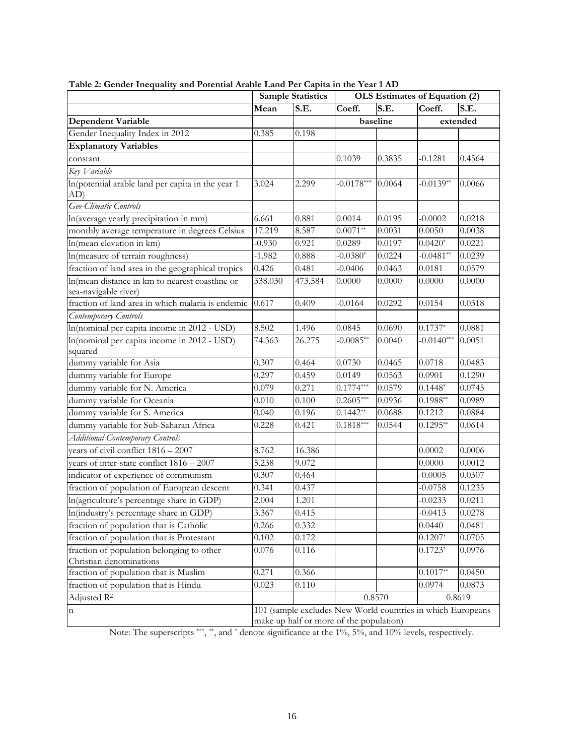|                                                                        |          | <b>Sample Statistics</b>                | OLS Estimates of Equation (2) |          |                                                             |          |
|------------------------------------------------------------------------|----------|-----------------------------------------|-------------------------------|----------|-------------------------------------------------------------|----------|
|                                                                        | Mean     | S.E.                                    | Coeff.                        | S.E.     | Coeff.                                                      | S.E.     |
| <b>Dependent Variable</b>                                              |          |                                         |                               | baseline |                                                             | extended |
| Gender Inequality Index in 2012                                        | 0.385    | 0.198                                   |                               |          |                                                             |          |
| <b>Explanatory Variables</b>                                           |          |                                         |                               |          |                                                             |          |
| constant                                                               |          |                                         | 0.1039                        | 0.3835   | $-0.1281$                                                   | 0.4564   |
| Key Variable                                                           |          |                                         |                               |          |                                                             |          |
| In(potential arable land per capita in the year 1<br>AD)               | 3.024    | 2.299                                   | $-0.0178***$                  | 0.0064   | $-0.0139**$                                                 | 0.0066   |
| Geo-Climatic Controls                                                  |          |                                         |                               |          |                                                             |          |
| In(average yearly precipitation in mm)                                 | 6.661    | 0.881                                   | 0.0014                        | 0.0195   | $-0.0002$                                                   | 0.0218   |
| monthly average temperature in degrees Celsius                         | 17.219   | 8.587                                   | $0.0071**$                    | 0.0031   | 0.0050                                                      | 0.0038   |
| In(mean elevation in km)                                               | $-0.930$ | 0.921                                   | 0.0289                        | 0.0197   | $0.0420*$                                                   | 0.0221   |
| In(measure of terrain roughness)                                       | $-1.982$ | 0.888                                   | $-0.0380*$                    | 0.0224   | $-0.0481**$                                                 | 0.0239   |
| fraction of land area in the geographical tropics                      | 0.426    | 0.481                                   | $-0.0406$                     | 0.0463   | 0.0181                                                      | 0.0579   |
| In(mean distance in km to nearest coastline or<br>sea-navigable river) | 338.030  | 473.584                                 | 0.0000                        | 0.0000   | 0.0000                                                      | 0.0000   |
| fraction of land area in which malaria is endemic                      | 0.617    | 0.409                                   | $-0.0164$                     | 0.0292   | 0.0154                                                      | 0.0318   |
| Contemporary Controls                                                  |          |                                         |                               |          |                                                             |          |
| In(nominal per capita income in 2012 - USD)                            | 8.502    | 1.496                                   | 0.0845                        | 0.0690   | $0.1737*$                                                   | 0.0881   |
| In(nominal per capita income in 2012 - USD)                            | 74.363   | 26.275                                  | $-0.0085**$                   | 0.0040   | $-0.01\overline{40^{***}}$                                  | 0.0051   |
| squared                                                                |          |                                         |                               |          |                                                             |          |
| dummy variable for Asia                                                | 0.307    | 0.464                                   | 0.0730                        | 0.0465   | 0.0718                                                      | 0.0483   |
| dummy variable for Europe                                              | 0.297    | 0.459                                   | 0.0149                        | 0.0563   | 0.0901                                                      | 0.1290   |
| dummy variable for N. America                                          | 0.079    | 0.271                                   | $0.1774***$                   | 0.0579   | $0.1448*$                                                   | 0.0745   |
| dummy variable for Oceania                                             | 0.010    | 0.100                                   | $0.2605***$                   | 0.0936   | $0.1988**$                                                  | 0.0989   |
| dummy variable for S. America                                          | 0.040    | 0.196                                   | $0.1442**$                    | 0.0688   | 0.1212                                                      | 0.0884   |
| dummy variable for Sub-Saharan Africa                                  | 0.228    | 0.421                                   | $0.1818***$                   | 0.0544   | $0.1295**$                                                  | 0.0614   |
| <b>Additional Contemporary Controls</b>                                |          |                                         |                               |          |                                                             |          |
| years of civil conflict $1816 - 2007$                                  | 8.762    | 16.386                                  |                               |          | 0.0002                                                      | 0.0006   |
| years of inter-state conflict $1816 - 2007$                            | 5.238    | 9.072                                   |                               |          | 0.0000                                                      | 0.0012   |
| indicator of experience of communism                                   | 0.307    | 0.464                                   |                               |          | $-0.0005$                                                   | 0.0307   |
| fraction of population of European descent                             | 0.341    | 0.437                                   |                               |          | $-0.0758$                                                   | 0.1235   |
| In(agriculture's percentage share in GDP)                              | 2.004    | 1.201                                   |                               |          | $-0.0233$                                                   | 0.0211   |
| In(industry's percentage share in GDP)                                 | 3.367    | 0.415                                   |                               |          | $-0.0413$                                                   | 0.0278   |
| fraction of population that is Catholic                                | 0.266    | 0.332                                   |                               |          | 0.0440                                                      | 0.0481   |
| fraction of population that is Protestant                              | 0.102    | 0.172                                   |                               |          | $0.1207*$                                                   | 0.0705   |
| fraction of population belonging to other                              | 0.076    | 0.116                                   |                               |          | $0.1723*$                                                   | 0.0976   |
| Christian denominations                                                |          |                                         |                               |          |                                                             |          |
| fraction of population that is Muslim                                  | 0.271    | 0.366                                   |                               |          | $0.1017**$                                                  | 0.0450   |
| fraction of population that is Hindu                                   | 0.023    | 0.110                                   |                               |          | 0.0974                                                      | 0.0873   |
| Adjusted R <sup>2</sup>                                                |          |                                         |                               | 0.8570   |                                                             | 0.8619   |
| n                                                                      |          |                                         |                               |          | 101 (sample excludes New World countries in which Europeans |          |
|                                                                        |          | make up half or more of the population) |                               |          |                                                             |          |

**Table 2: Gender Inequality and Potential Arable Land Per Capita in the Year 1 AD** 

Note: The superscripts \*\*\*, \*\*, and \* denote significance at the 1%, 5%, and 10% levels, respectively.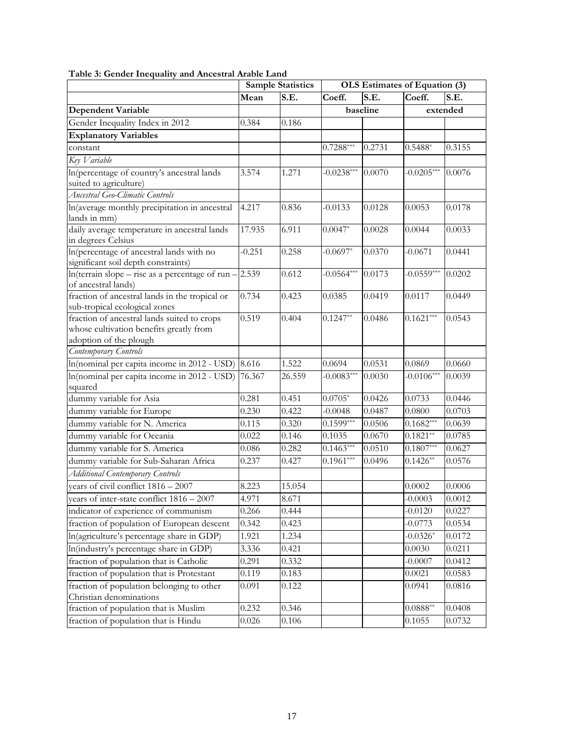|                                                                                                                  |          | <b>Sample Statistics</b> | OLS Estimates of Equation (3) |          |              |          |
|------------------------------------------------------------------------------------------------------------------|----------|--------------------------|-------------------------------|----------|--------------|----------|
|                                                                                                                  | Mean     | S.E.                     | Coeff.                        | S.E.     | Coeff.       | S.E.     |
| <b>Dependent Variable</b>                                                                                        |          |                          |                               | baseline |              | extended |
| Gender Inequality Index in 2012                                                                                  | 0.384    | 0.186                    |                               |          |              |          |
| <b>Explanatory Variables</b>                                                                                     |          |                          |                               |          |              |          |
| constant                                                                                                         |          |                          | $0.7288***$                   | 0.2731   | $0.5488*$    | 0.3155   |
| Key Variable                                                                                                     |          |                          |                               |          |              |          |
| In(percentage of country's ancestral lands<br>suited to agriculture)                                             | 3.574    | 1.271                    | $-0.0238***$                  | 0.0070   | $-0.0205***$ | 0.0076   |
| Ancestral Geo-Climatic Controls                                                                                  |          |                          |                               |          |              |          |
| In(average monthly precipitation in ancestral<br>lands in mm)                                                    | 4.217    | 0.836                    | $-0.0133$                     | 0.0128   | 0.0053       | 0.0178   |
| daily average temperature in ancestral lands<br>in degrees Celsius                                               | 17.935   | 6.911                    | $0.0047*$                     | 0.0028   | 0.0044       | 0.0033   |
| In(percentage of ancestral lands with no<br>significant soil depth constraints)                                  | $-0.251$ | 0.258                    | $-0.0697*$                    | 0.0370   | $-0.0671$    | 0.0441   |
| In(terrain slope – rise as a percentage of run -<br>of ancestral lands)                                          | 2.539    | 0.612                    | $-0.0564***$                  | 0.0173   | $-0.0559***$ | 0.0202   |
| fraction of ancestral lands in the tropical or<br>sub-tropical ecological zones                                  | 0.734    | 0.423                    | 0.0385                        | 0.0419   | 0.0117       | 0.0449   |
| fraction of ancestral lands suited to crops<br>whose cultivation benefits greatly from<br>adoption of the plough | 0.519    | 0.404                    | $0.1247**$                    | 0.0486   | $0.1621***$  | 0.0543   |
| Contemporary Controls                                                                                            |          |                          |                               |          |              |          |
| In(nominal per capita income in 2012 - USD)                                                                      | 8.616    | 1.522                    | 0.0694                        | 0.0531   | 0.0869       | 0.0660   |
| In(nominal per capita income in 2012 - USD)<br>squared                                                           | 76.367   | 26.559                   | $-0.0083***$                  | 0.0030   | $-0.0106***$ | 0.0039   |
| dummy variable for Asia                                                                                          | 0.281    | 0.451                    | $0.0705*$                     | 0.0426   | 0.0733       | 0.0446   |
| dummy variable for Europe                                                                                        | 0.230    | 0.422                    | $-0.0048$                     | 0.0487   | 0.0800       | 0.0703   |
| dummy variable for N. America                                                                                    | 0.115    | 0.320                    | $0.1599***$                   | 0.0506   | $0.1682***$  | 0.0639   |
| dummy variable for Oceania                                                                                       | 0.022    | 0.146                    | 0.1035                        | 0.0670   | $0.1821**$   | 0.0785   |
| dummy variable for S. America                                                                                    | 0.086    | 0.282                    | $0.1463***$                   | 0.0510   | $0.1807***$  | 0.0627   |
| dummy variable for Sub-Saharan Africa                                                                            | 0.237    | 0.427                    | $0.1961***$                   | 0.0496   | $0.1426**$   | 0.0576   |
| <b>Additional Contemporary Controls</b>                                                                          |          |                          |                               |          |              |          |
| vears of civil conflict $1816 - 2007$                                                                            | 8.223    | 15.054                   |                               |          | 0.0002       | 0.0006   |
| years of inter-state conflict $1816 - 2007$                                                                      | 4.971    | 8.671                    |                               |          | $-0.0003$    | 0.0012   |
| indicator of experience of communism                                                                             | 0.266    | 0.444                    |                               |          | $-0.0120$    | 0.0227   |
| fraction of population of European descent                                                                       | 0.342    | 0.423                    |                               |          | $-0.0773$    | 0.0534   |
| In(agriculture's percentage share in GDP)                                                                        | 1.921    | 1.234                    |                               |          | $-0.0326*$   | 0.0172   |
| In(industry's percentage share in GDP)                                                                           | 3.336    | 0.421                    |                               |          | 0.0030       | 0.0211   |
| fraction of population that is Catholic                                                                          | 0.291    | 0.332                    |                               |          | $-0.0007$    | 0.0412   |
| fraction of population that is Protestant                                                                        | 0.119    | 0.183                    |                               |          | 0.0021       | 0.0583   |
| fraction of population belonging to other<br>Christian denominations                                             | 0.091    | 0.122                    |                               |          | 0.0941       | 0.0816   |
| fraction of population that is Muslim                                                                            | 0.232    | 0.346                    |                               |          | $0.0888**$   | 0.0408   |
| fraction of population that is Hindu                                                                             | 0.026    | 0.106                    |                               |          | 0.1055       | 0.0732   |

#### **Table 3: Gender Inequality and Ancestral Arable Land**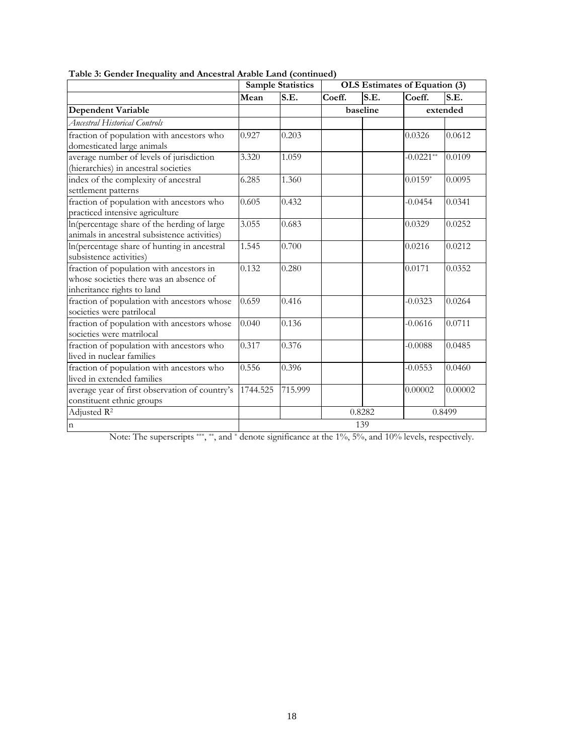|                                                                                                                   |          | <b>Sample Statistics</b>                   | OLS Estimates of Equation (3) |          |             |          |  |  |
|-------------------------------------------------------------------------------------------------------------------|----------|--------------------------------------------|-------------------------------|----------|-------------|----------|--|--|
|                                                                                                                   | Mean     | $\overline{\mathbf{S} \cdot \mathbf{E}}$ . | Coeff.                        | S.E.     | Coeff.      | S.E.     |  |  |
| <b>Dependent Variable</b>                                                                                         |          |                                            |                               | baseline |             | extended |  |  |
| <b>Ancestral Historical Controls</b>                                                                              |          |                                            |                               |          |             |          |  |  |
| fraction of population with ancestors who<br>domesticated large animals                                           | 0.927    | 0.203                                      |                               |          | 0.0326      | 0.0612   |  |  |
| average number of levels of jurisdiction<br>(hierarchies) in ancestral societies                                  | 3.320    | 1.059                                      |                               |          | $-0.0221**$ | 0.0109   |  |  |
| index of the complexity of ancestral<br>settlement patterns                                                       | 6.285    | 1.360                                      |                               |          | $0.0159*$   | 0.0095   |  |  |
| fraction of population with ancestors who<br>practiced intensive agriculture                                      | 0.605    | 0.432                                      |                               |          | $-0.0454$   | 0.0341   |  |  |
| In(percentage share of the herding of large<br>animals in ancestral subsistence activities)                       | 3.055    | 0.683                                      |                               |          | 0.0329      | 0.0252   |  |  |
| In(percentage share of hunting in ancestral<br>subsistence activities)                                            | 1.545    | 0.700                                      |                               |          | 0.0216      | 0.0212   |  |  |
| fraction of population with ancestors in<br>whose societies there was an absence of<br>inheritance rights to land | 0.132    | 0.280                                      |                               |          | 0.0171      | 0.0352   |  |  |
| fraction of population with ancestors whose<br>societies were patrilocal                                          | 0.659    | 0.416                                      |                               |          | $-0.0323$   | 0.0264   |  |  |
| fraction of population with ancestors whose<br>societies were matrilocal                                          | 0.040    | 0.136                                      |                               |          | $-0.0616$   | 0.0711   |  |  |
| fraction of population with ancestors who<br>lived in nuclear families                                            | 0.317    | 0.376                                      |                               |          | $-0.0088$   | 0.0485   |  |  |
| fraction of population with ancestors who<br>lived in extended families                                           | 0.556    | 0.396                                      |                               |          | $-0.0553$   | 0.0460   |  |  |
| average year of first observation of country's<br>constituent ethnic groups                                       | 1744.525 | 715.999                                    |                               |          | 0.00002     | 0.00002  |  |  |
| Adjusted R <sup>2</sup>                                                                                           |          |                                            |                               | 0.8282   |             | 0.8499   |  |  |
| $\mathbf n$                                                                                                       |          |                                            |                               | 139      |             |          |  |  |

**Table 3: Gender Inequality and Ancestral Arable Land (continued)** 

Note: The superscripts \*\*\*, \*\*, and \* denote significance at the 1%, 5%, and 10% levels, respectively.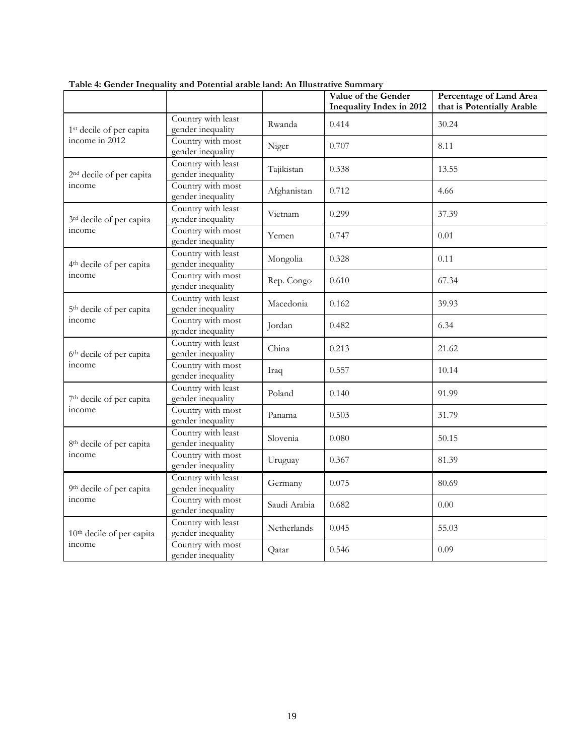|                                       |                                         |              | Value of the Gender<br><b>Inequality Index in 2012</b>                                                                                                                                                                             | Percentage of Land Area<br>that is Potentially Arable |
|---------------------------------------|-----------------------------------------|--------------|------------------------------------------------------------------------------------------------------------------------------------------------------------------------------------------------------------------------------------|-------------------------------------------------------|
| 1 <sup>st</sup> decile of per capita  | Country with least<br>gender inequality | Rwanda       | 0.414                                                                                                                                                                                                                              | 30.24                                                 |
| income in 2012                        | Country with most<br>gender inequality  | Niger        | 0.707                                                                                                                                                                                                                              | 8.11                                                  |
| 2 <sup>nd</sup> decile of per capita  | Country with least<br>gender inequality | Tajikistan   | 0.338<br>13.55<br>0.712<br>4.66<br>37.39<br>0.299<br>0.01<br>0.747<br>0.11<br>0.328<br>0.610<br>67.34<br>0.162<br>39.93<br>6.34<br>0.482<br>0.213<br>21.62<br>0.557<br>10.14<br>91.99<br>0.140<br>0.503<br>31.79<br>0.080<br>50.15 |                                                       |
| income                                | Country with most<br>gender inequality  | Afghanistan  |                                                                                                                                                                                                                                    |                                                       |
| 3rd decile of per capita              | Country with least<br>gender inequality | Vietnam      |                                                                                                                                                                                                                                    |                                                       |
| income                                | Country with most<br>gender inequality  | Yemen        |                                                                                                                                                                                                                                    |                                                       |
| 4 <sup>th</sup> decile of per capita  | Country with least<br>gender inequality | Mongolia     |                                                                                                                                                                                                                                    |                                                       |
| income                                | Country with most<br>gender inequality  | Rep. Congo   | 81.39<br>0.367<br>0.075<br>80.69<br>0.682<br>0.00<br>0.045<br>55.03<br>0.546<br>0.09                                                                                                                                               |                                                       |
| 5 <sup>th</sup> decile of per capita  | Country with least<br>gender inequality | Macedonia    |                                                                                                                                                                                                                                    |                                                       |
| income                                | Country with most<br>gender inequality  | Jordan       |                                                                                                                                                                                                                                    |                                                       |
| 6th decile of per capita              | Country with least<br>gender inequality | China        |                                                                                                                                                                                                                                    |                                                       |
| income                                | Country with most<br>gender inequality  | Iraq         |                                                                                                                                                                                                                                    |                                                       |
| 7 <sup>th</sup> decile of per capita  | Country with least<br>gender inequality | Poland       |                                                                                                                                                                                                                                    |                                                       |
| income                                | Country with most<br>gender inequality  | Panama       |                                                                                                                                                                                                                                    |                                                       |
| 8 <sup>th</sup> decile of per capita  | Country with least<br>gender inequality | Slovenia     |                                                                                                                                                                                                                                    |                                                       |
| income                                | Country with most<br>gender inequality  | Uruguay      |                                                                                                                                                                                                                                    |                                                       |
| 9th decile of per capita              | Country with least<br>gender inequality | Germany      |                                                                                                                                                                                                                                    |                                                       |
| income                                | Country with most<br>gender inequality  | Saudi Arabia |                                                                                                                                                                                                                                    |                                                       |
| 10 <sup>th</sup> decile of per capita | Country with least<br>gender inequality | Netherlands  |                                                                                                                                                                                                                                    |                                                       |
| income                                | Country with most<br>gender inequality  | Qatar        |                                                                                                                                                                                                                                    |                                                       |

**Table 4: Gender Inequality and Potential arable land: An Illustrative Summary**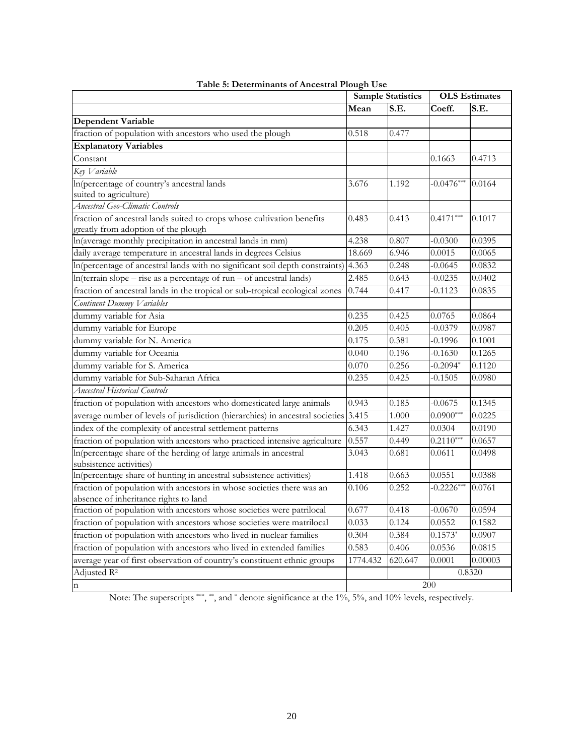|                                                                                                                | <b>Sample Statistics</b> |         | <b>OLS</b> Estimates |         |
|----------------------------------------------------------------------------------------------------------------|--------------------------|---------|----------------------|---------|
|                                                                                                                | Mean                     | S.E.    | Coeff.               | S.E.    |
| <b>Dependent Variable</b>                                                                                      |                          |         |                      |         |
| fraction of population with ancestors who used the plough                                                      | 0.518                    | 0.477   |                      |         |
| <b>Explanatory Variables</b>                                                                                   |                          |         |                      |         |
| Constant                                                                                                       |                          |         | 0.1663               | 0.4713  |
| Key Variable                                                                                                   |                          |         |                      |         |
| In(percentage of country's ancestral lands                                                                     | 3.676                    | 1.192   | $-0.0476***$         | 0.0164  |
| suited to agriculture)                                                                                         |                          |         |                      |         |
| Ancestral Geo-Climatic Controls                                                                                |                          |         |                      |         |
| fraction of ancestral lands suited to crops whose cultivation benefits                                         | 0.483                    | 0.413   | $0.4171***$          | 0.1017  |
| greatly from adoption of the plough                                                                            |                          |         |                      |         |
| In(average monthly precipitation in ancestral lands in mm)                                                     | 4.238                    | 0.807   | $-0.0300$            | 0.0395  |
| daily average temperature in ancestral lands in degrees Celsius                                                | 18.669                   | 6.946   | 0.0015               | 0.0065  |
| In(percentage of ancestral lands with no significant soil depth constraints)                                   | 4.363                    | 0.248   | $-0.0645$            | 0.0832  |
| $ln(terrain slope - rise as a percentage of run - of ancestral lands)$                                         | 2.485                    | 0.643   | $-0.0235$            | 0.0402  |
| fraction of ancestral lands in the tropical or sub-tropical ecological zones                                   | 0.744                    | 0.417   | $-0.1123$            | 0.0835  |
| Continent Dummy Variables                                                                                      |                          |         |                      |         |
| dummy variable for Asia                                                                                        | 0.235                    | 0.425   | 0.0765               | 0.0864  |
| dummy variable for Europe                                                                                      | 0.205                    | 0.405   | $-0.0379$            | 0.0987  |
| dummy variable for N. America                                                                                  | 0.175                    | 0.381   | $-0.1996$            | 0.1001  |
| dummy variable for Oceania                                                                                     | 0.040                    | 0.196   | $-0.1630$            | 0.1265  |
| dummy variable for S. America                                                                                  | 0.070                    | 0.256   | $-0.2094*$           | 0.1120  |
| dummy variable for Sub-Saharan Africa                                                                          | 0.235                    | 0.425   | $-0.1505$            | 0.0980  |
| <b>Ancestral Historical Controls</b>                                                                           |                          |         |                      |         |
| fraction of population with ancestors who domesticated large animals                                           | 0.943                    | 0.185   | $-0.0675$            | 0.1345  |
| average number of levels of jurisdiction (hierarchies) in ancestral societies                                  | 3.415                    | 1.000   | $0.0900***$          | 0.0225  |
| index of the complexity of ancestral settlement patterns                                                       | 6.343                    | 1.427   | 0.0304               | 0.0190  |
| fraction of population with ancestors who practiced intensive agriculture                                      | 0.557                    | 0.449   | $0.2110***$          | 0.0657  |
| In(percentage share of the herding of large animals in ancestral                                               | 3.043                    | 0.681   | 0.0611               | 0.0498  |
| subsistence activities)                                                                                        |                          |         |                      |         |
| In(percentage share of hunting in ancestral subsistence activities)                                            | 1.418                    | 0.663   | 0.0551               | 0.0388  |
| fraction of population with ancestors in whose societies there was an<br>absence of inheritance rights to land | 0.106                    | 0.252   | $-0.2226***$         | 0.0761  |
| fraction of population with ancestors whose societies were patrilocal                                          | 0.677                    | 0.418   | $-0.0670$            | 0.0594  |
| fraction of population with ancestors whose societies were matrilocal                                          | 0.033                    | 0.124   | 0.0552               | 0.1582  |
| fraction of population with ancestors who lived in nuclear families                                            | 0.304                    | 0.384   | $0.1573*$            | 0.0907  |
| fraction of population with ancestors who lived in extended families                                           | 0.583                    | 0.406   | 0.0536               | 0.0815  |
| average year of first observation of country's constituent ethnic groups                                       | 1774.432                 | 620.647 | 0.0001               | 0.00003 |
| Adjusted R <sup>2</sup>                                                                                        |                          |         |                      | 0.8320  |
|                                                                                                                |                          |         | 200                  |         |
| $\mathbf n$                                                                                                    |                          |         |                      |         |

|  | Table 5: Determinants of Ancestral Plough Use |  |  |
|--|-----------------------------------------------|--|--|
|  |                                               |  |  |

Note: The superscripts \*\*\*, \*\*, and \* denote significance at the 1%, 5%, and 10% levels, respectively.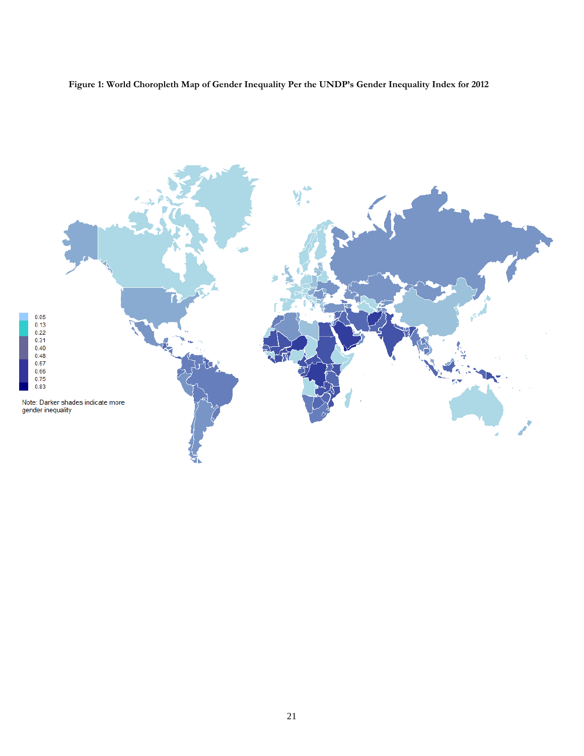**Figure 1: World Choropleth Map of Gender Inequality Per the UNDP's Gender Inequality Index for 2012** 

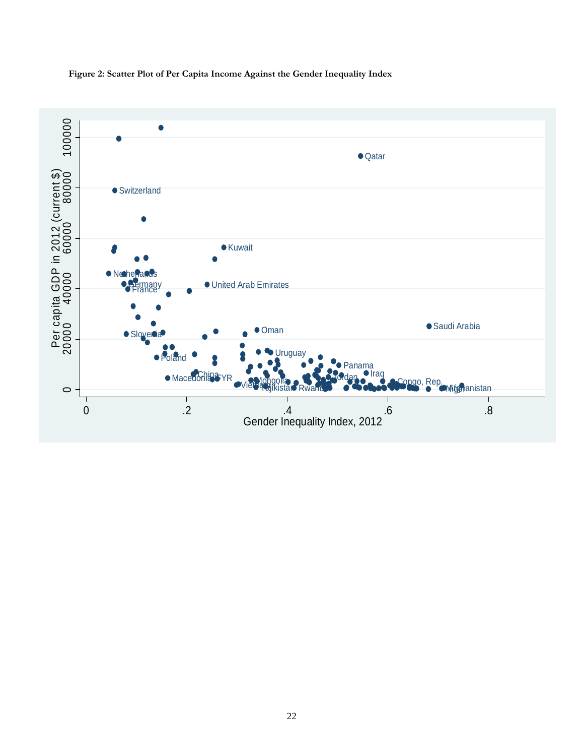**Figure 2: Scatter Plot of Per Capita Income Against the Gender Inequality Index** 

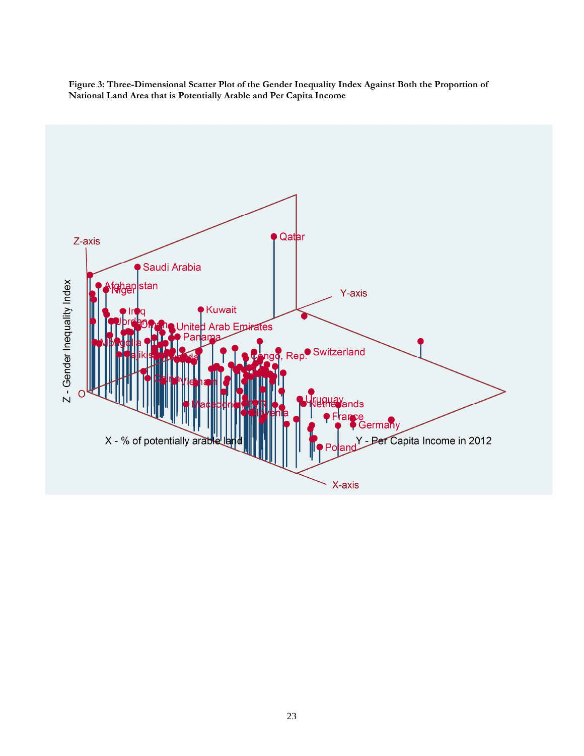**Figure 3: Three-Dimensional Scatter Plot of the Gender Inequality Index Against Both the Proportion of National Land Area that is Potentially Arable and Per Capita Income** 

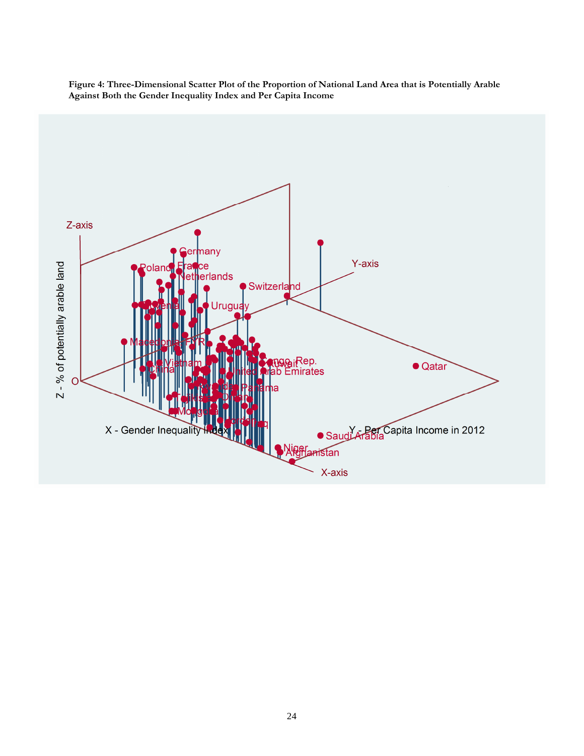

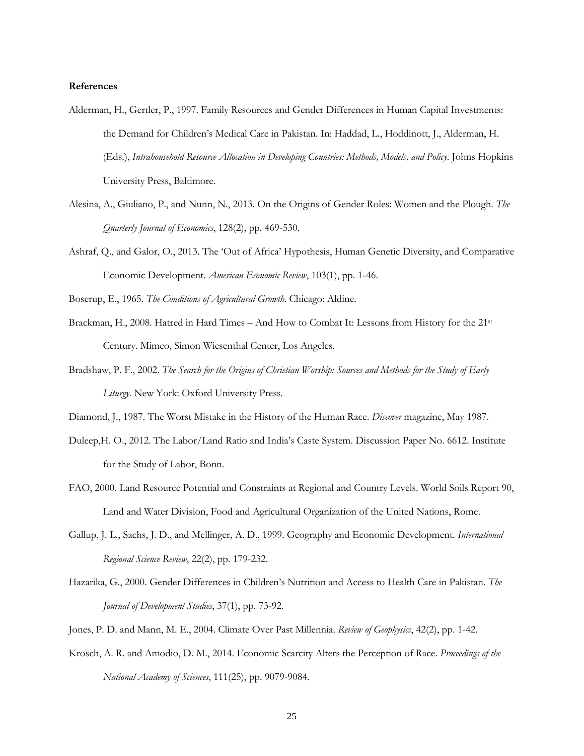#### **References**

- Alderman, H., Gertler, P., 1997. Family Resources and Gender Differences in Human Capital Investments: the Demand for Children's Medical Care in Pakistan. In: Haddad, L., Hoddinott, J., Alderman, H. (Eds.), *Intrahousehold Resource Allocation in Developing Countries: Methods, Models, and Policy*. Johns Hopkins University Press, Baltimore.
- Alesina, A., Giuliano, P., and Nunn, N., 2013. On the Origins of Gender Roles: Women and the Plough. *The Quarterly Journal of Economics*, 128(2), pp. 469-530.
- Ashraf, Q., and Galor, O., 2013. The 'Out of Africa' Hypothesis, Human Genetic Diversity, and Comparative Economic Development. *American Economic Review*, 103(1), pp. 1-46.

Boserup, E., 1965. *The Conditions of Agricultural Growth*. Chicago: Aldine.

- Brackman, H., 2008. Hatred in Hard Times And How to Combat It: Lessons from History for the 21<sup>st</sup> Century. Mimeo, Simon Wiesenthal Center, Los Angeles.
- Bradshaw, P. F., 2002. *The Search for the Origins of Christian Worship: Sources and Methods for the Study of Early Liturgy.* New York: Oxford University Press.

Diamond, J., 1987. The Worst Mistake in the History of the Human Race. *Discover* magazine, May 1987.

- Duleep,H. O., 2012. The Labor/Land Ratio and India's Caste System. Discussion Paper No. 6612. Institute for the Study of Labor, Bonn.
- FAO, 2000. Land Resource Potential and Constraints at Regional and Country Levels. World Soils Report 90, Land and Water Division, Food and Agricultural Organization of the United Nations, Rome.
- Gallup, J. L., Sachs, J. D., and Mellinger, A. D., 1999. Geography and Economic Development. *International Regional Science Review*, 22(2), pp. 179-232.
- Hazarika, G., 2000. Gender Differences in Children's Nutrition and Access to Health Care in Pakistan. *The Journal of Development Studies*, 37(1), pp. 73-92.
- Jones, P. D. and Mann, M. E., 2004. Climate Over Past Millennia. *Review of Geophysics*, 42(2), pp. 1-42.
- Krosch, A. R. and Amodio, D. M., 2014. Economic Scarcity Alters the Perception of Race. *Proceedings of the National Academy of Sciences*, 111(25), pp. 9079-9084.